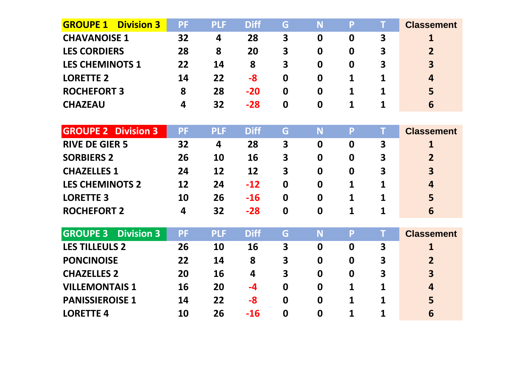| <b>GROUPE 1</b><br><b>Division 3</b> | <b>PF</b> | <b>PLF</b> | <b>Diff</b> | G                | N                | P                | T                       | <b>Classement</b>       |
|--------------------------------------|-----------|------------|-------------|------------------|------------------|------------------|-------------------------|-------------------------|
| <b>CHAVANOISE 1</b>                  | 32        | 4          | 28          | 3                | $\boldsymbol{0}$ | $\boldsymbol{0}$ | 3                       | 1                       |
| <b>LES CORDIERS</b>                  | 28        | 8          | 20          | 3                | $\mathbf 0$      | 0                | 3                       | $\overline{2}$          |
| <b>LES CHEMINOTS 1</b>               | 22        | 14         | 8           | 3                | $\boldsymbol{0}$ | 0                | 3                       | $\overline{\mathbf{3}}$ |
| <b>LORETTE 2</b>                     | 14        | 22         | $-8$        | $\mathbf 0$      | $\mathbf 0$      | 1                | 1                       | 4                       |
| <b>ROCHEFORT 3</b>                   | 8         | 28         | $-20$       | $\boldsymbol{0}$ | $\boldsymbol{0}$ | 1                | 1                       | 5                       |
| <b>CHAZEAU</b>                       | 4         | 32         | $-28$       | $\boldsymbol{0}$ | $\boldsymbol{0}$ | 1                | 1                       | 6                       |
|                                      |           |            |             |                  |                  |                  |                         |                         |
| <b>GROUPE 2 Division 3</b>           | <b>PF</b> | <b>PLF</b> | <b>Diff</b> | G                | <b>N</b>         | P                | T                       | <b>Classement</b>       |
| <b>RIVE DE GIER 5</b>                | 32        | 4          | 28          | 3                | $\mathbf 0$      | $\mathbf 0$      | 3                       | 1                       |
| <b>SORBIERS 2</b>                    | 26        | 10         | 16          | 3                | $\boldsymbol{0}$ | $\mathbf 0$      | 3                       | $\overline{2}$          |
| <b>CHAZELLES 1</b>                   | 24        | 12         | 12          | 3                | $\mathbf 0$      | $\boldsymbol{0}$ | 3                       | $\overline{\mathbf{3}}$ |
| <b>LES CHEMINOTS 2</b>               | 12        | 24         | $-12$       | 0                | $\boldsymbol{0}$ | 1                | 1                       | 4                       |
| <b>LORETTE 3</b>                     | 10        | 26         | $-16$       | $\mathbf 0$      | $\mathbf 0$      | 1                | 1                       | 5                       |
| <b>ROCHEFORT 2</b>                   | 4         | 32         | $-28$       | $\mathbf 0$      | $\boldsymbol{0}$ | 1                | 1                       | 6                       |
|                                      |           |            |             |                  |                  |                  |                         |                         |
| <b>GROUPE 3</b><br><b>Division 3</b> | <b>PF</b> | <b>PLF</b> | <b>Diff</b> | G                | N                | P                | т                       | <b>Classement</b>       |
| <b>LES TILLEULS 2</b>                | 26        | 10         | 16          | 3                | $\mathbf 0$      | $\mathbf 0$      | $\overline{\mathbf{3}}$ | 1                       |
| <b>PONCINOISE</b>                    | 22        | 14         | 8           | 3                | $\boldsymbol{0}$ | $\mathbf 0$      | 3                       | $\overline{2}$          |
| <b>CHAZELLES 2</b>                   | 20        | 16         | 4           | 3                | $\mathbf 0$      | $\boldsymbol{0}$ | 3                       | $\overline{\mathbf{3}}$ |
| <b>VILLEMONTAIS 1</b>                | 16        | 20         | $-4$        | $\mathbf 0$      | $\bf{0}$         | 1                | 1                       | 4                       |
| <b>PANISSIEROISE 1</b>               | 14        | 22         | $-8$        | $\mathbf 0$      | $\mathbf 0$      | 1                | 1                       | 5                       |
| <b>LORETTE 4</b>                     | 10        | 26         | $-16$       | $\boldsymbol{0}$ | 0                | 1                | 1                       | 6                       |